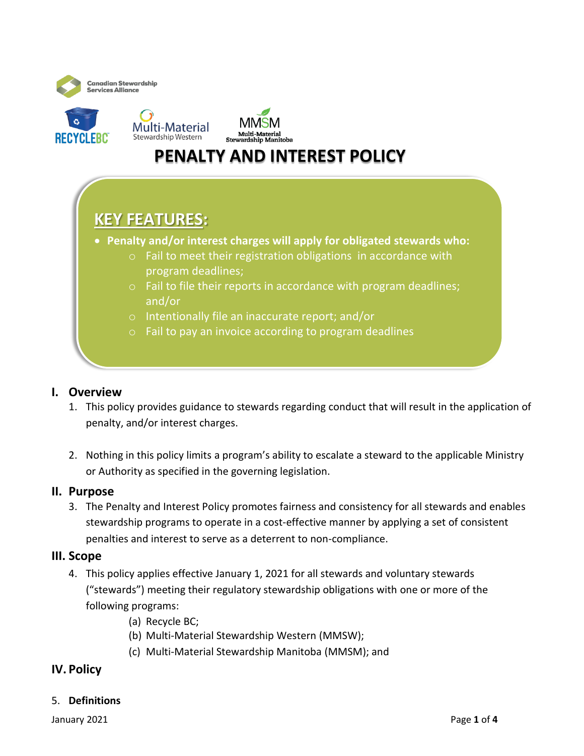



# **PENALTY AND INTEREST POLICY**

# **KEY FEATURES:**

- **Penalty and/or interest charges will apply for obligated stewards who:**
	- o Fail to meet their registration obligations in accordance with program deadlines;
	- o Fail to file their reports in accordance with program deadlines; and/or
	- o Intentionally file an inaccurate report; and/or
	- o Fail to pay an invoice according to program deadlines

## **I. Overview**

- 1. This policy provides guidance to stewards regarding conduct that will result in the application of penalty, and/or interest charges.
- 2. Nothing in this policy limits a program's ability to escalate a steward to the applicable Ministry or Authority as specified in the governing legislation.

#### **II. Purpose**

3. The Penalty and Interest Policy promotes fairness and consistency for all stewards and enables stewardship programs to operate in a cost-effective manner by applying a set of consistent penalties and interest to serve as a deterrent to non-compliance.

#### **III. Scope**

- 4. This policy applies effective January 1, 2021 for all stewards and voluntary stewards ("stewards") meeting their regulatory stewardship obligations with one or more of the following programs:
	- (a) Recycle BC;
	- (b) Multi-Material Stewardship Western (MMSW);
	- (c) Multi-Material Stewardship Manitoba (MMSM); and

## **IV. Policy**

#### 5. **Definitions**

January 2021 **Page 1** of 4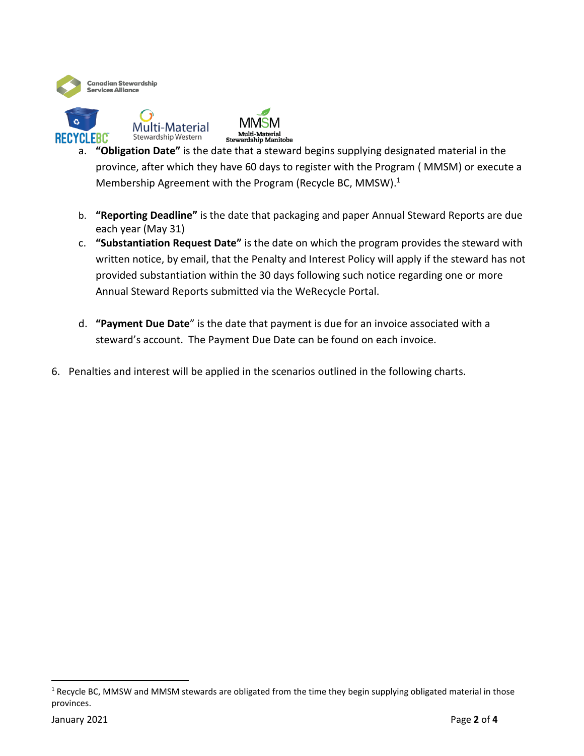



- a. **"Obligation Date"** is the date that a steward begins supplying designated material in the province, after which they have 60 days to register with the Program ( MMSM) or execute a Membership Agreement with the Program (Recycle BC, MMSW). 1
- b. **"Reporting Deadline"** is the date that packaging and paper Annual Steward Reports are due each year (May 31)
- c. **"Substantiation Request Date"** is the date on which the program provides the steward with written notice, by email, that the Penalty and Interest Policy will apply if the steward has not provided substantiation within the 30 days following such notice regarding one or more Annual Steward Reports submitted via the WeRecycle Portal.
- d. **"Payment Due Date**" is the date that payment is due for an invoice associated with a steward's account. The Payment Due Date can be found on each invoice.
- 6. Penalties and interest will be applied in the scenarios outlined in the following charts.

 $1$  Recycle BC, MMSW and MMSM stewards are obligated from the time they begin supplying obligated material in those provinces.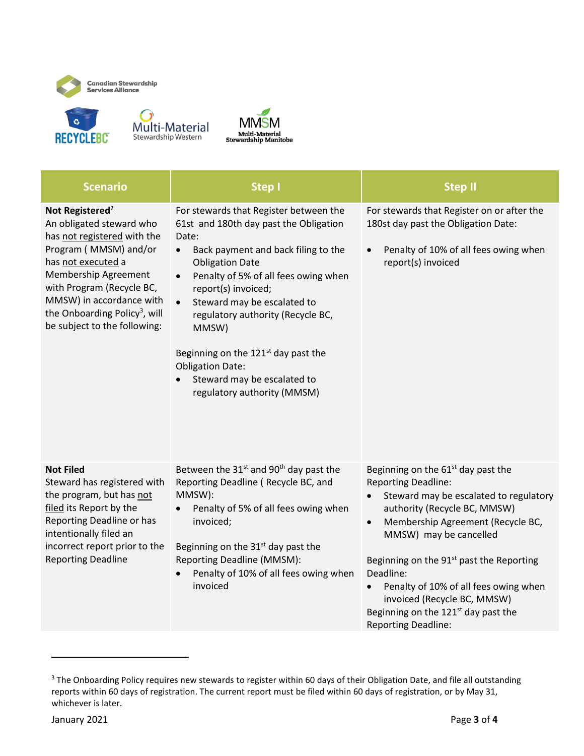



| <b>Scenario</b>                                                                                                                                                                                                                                                                                     | <b>Step I</b>                                                                                                                                                                                                                                                                                                                                                                                                                                                                   | <b>Step II</b>                                                                                                                                                                                                                                                                                                                                                                                                                     |
|-----------------------------------------------------------------------------------------------------------------------------------------------------------------------------------------------------------------------------------------------------------------------------------------------------|---------------------------------------------------------------------------------------------------------------------------------------------------------------------------------------------------------------------------------------------------------------------------------------------------------------------------------------------------------------------------------------------------------------------------------------------------------------------------------|------------------------------------------------------------------------------------------------------------------------------------------------------------------------------------------------------------------------------------------------------------------------------------------------------------------------------------------------------------------------------------------------------------------------------------|
| Not Registered <sup>2</sup><br>An obligated steward who<br>has not registered with the<br>Program (MMSM) and/or<br>has not executed a<br>Membership Agreement<br>with Program (Recycle BC,<br>MMSW) in accordance with<br>the Onboarding Policy <sup>3</sup> , will<br>be subject to the following: | For stewards that Register between the<br>61st and 180th day past the Obligation<br>Date:<br>Back payment and back filing to the<br>$\bullet$<br><b>Obligation Date</b><br>Penalty of 5% of all fees owing when<br>$\bullet$<br>report(s) invoiced;<br>Steward may be escalated to<br>$\bullet$<br>regulatory authority (Recycle BC,<br>MMSW)<br>Beginning on the $121st$ day past the<br><b>Obligation Date:</b><br>Steward may be escalated to<br>regulatory authority (MMSM) | For stewards that Register on or after the<br>180st day past the Obligation Date:<br>Penalty of 10% of all fees owing when<br>$\bullet$<br>report(s) invoiced                                                                                                                                                                                                                                                                      |
| <b>Not Filed</b><br>Steward has registered with<br>the program, but has not<br>filed its Report by the<br>Reporting Deadline or has<br>intentionally filed an<br>incorrect report prior to the<br><b>Reporting Deadline</b>                                                                         | Between the $31st$ and $90th$ day past the<br>Reporting Deadline (Recycle BC, and<br>MMSW):<br>Penalty of 5% of all fees owing when<br>invoiced;<br>Beginning on the 31 <sup>st</sup> day past the<br>Reporting Deadline (MMSM):<br>Penalty of 10% of all fees owing when<br>invoiced                                                                                                                                                                                           | Beginning on the $61st$ day past the<br><b>Reporting Deadline:</b><br>Steward may be escalated to regulatory<br>authority (Recycle BC, MMSW)<br>Membership Agreement (Recycle BC,<br>$\bullet$<br>MMSW) may be cancelled<br>Beginning on the $91st$ past the Reporting<br>Deadline:<br>Penalty of 10% of all fees owing when<br>invoiced (Recycle BC, MMSW)<br>Beginning on the $121st$ day past the<br><b>Reporting Deadline:</b> |

<sup>&</sup>lt;sup>3</sup> The Onboarding Policy requires new stewards to register within 60 days of their Obligation Date, and file all outstanding reports within 60 days of registration. The current report must be filed within 60 days of registration, or by May 31, whichever is later.